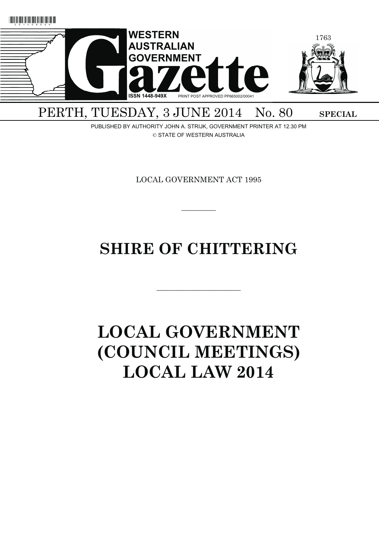

## PERTH, TUESDAY, 3 JUNE 2014 No. 80 SPECIAL

PUBLISHED BY AUTHORITY JOHN A. STRIJK, GOVERNMENT PRINTER AT 12.30 PM © STATE OF WESTERN AUSTRALIA

LOCAL GOVERNMENT ACT 1995

 $\overline{\phantom{a}}$   $\overline{\phantom{a}}$ 

## **SHIRE OF CHITTERING**

———————————

# **LOCAL GOVERNMENT (COUNCIL MEETINGS) LOCAL LAW 2014**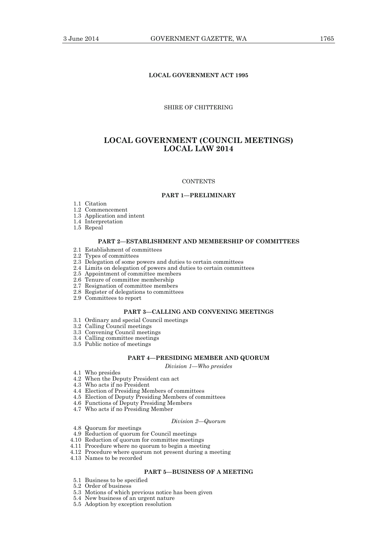## **LOCAL GOVERNMENT ACT 1995**

## SHIRE OF CHITTERING

## **LOCAL GOVERNMENT (COUNCIL MEETINGS) LOCAL LAW 2014**

#### **CONTENTS**

#### **PART 1—PRELIMINARY**

- 1.1 Citation
- 1.2 Commencement
- 1.3 Application and intent
- 1.4 Interpretation
- 1.5 Repeal

## **PART 2—ESTABLISHMENT AND MEMBERSHIP OF COMMITTEES**

- 2.1 Establishment of committees
- 2.2 Types of committees
- 2.3 Delegation of some powers and duties to certain committees
- 2.4 Limits on delegation of powers and duties to certain committees
- 2.5 Appointment of committee members
- 2.6 Tenure of committee membership
- 2.7 Resignation of committee members
- 2.8 Register of delegations to committees
- 2.9 Committees to report

## **PART 3—CALLING AND CONVENING MEETINGS**

- 3.1 Ordinary and special Council meetings
- 3.2 Calling Council meetings
- 3.3 Convening Council meetings
- 3.4 Calling committee meetings
- 3.5 Public notice of meetings

## **PART 4—PRESIDING MEMBER AND QUORUM**

*Division 1—Who presides* 

- 4.1 Who presides
- 4.2 When the Deputy President can act
- 4.3 Who acts if no President
- 4.4 Election of Presiding Members of committees
- 4.5 Election of Deputy Presiding Members of committees
- 4.6 Functions of Deputy Presiding Members
- 4.7 Who acts if no Presiding Member

### *Division 2—Quorum*

- 4.8 Quorum for meetings
- 4.9 Reduction of quorum for Council meetings
- 4.10 Reduction of quorum for committee meetings
- 4.11 Procedure where no quorum to begin a meeting
- 4.12 Procedure where quorum not present during a meeting
- 4.13 Names to be recorded

## **PART 5—BUSINESS OF A MEETING**

- 5.1 Business to be specified
- 5.2 Order of business
- 5.3 Motions of which previous notice has been given
- 5.4 New business of an urgent nature
- 5.5 Adoption by exception resolution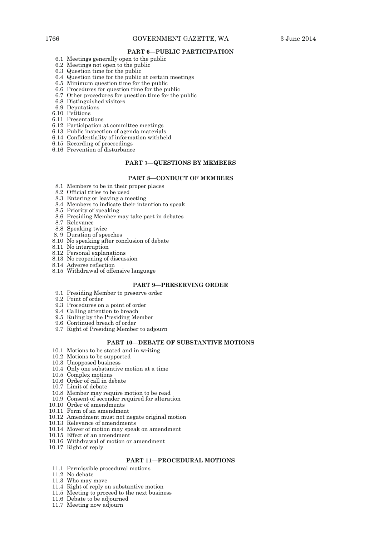## **PART 6—PUBLIC PARTICIPATION**

- 6.1 Meetings generally open to the public
- 6.2 Meetings not open to the public
- 6.3 Question time for the public
- 6.4 Question time for the public at certain meetings
- 6.5 Minimum question time for the public
- 6.6 Procedures for question time for the public
- 6.7 Other procedures for question time for the public
- 6.8 Distinguished visitors
- 6.9 Deputations
- 6.10 Petitions
- 6.11 Presentations
- 6.12 Participation at committee meetings
- 6.13 Public inspection of agenda materials
- 6.14 Confidentiality of information withheld
- 6.15 Recording of proceedings
- 6.16 Prevention of disturbance

## **PART 7—QUESTIONS BY MEMBERS**

## **PART 8—CONDUCT OF MEMBERS**

- 8.1 Members to be in their proper places
- 8.2 Official titles to be used
- 8.3 Entering or leaving a meeting
- 8.4 Members to indicate their intention to speak
- 8.5 Priority of speaking
- 8.6 Presiding Member may take part in debates
- 8.7 Relevance
- 8.8 Speaking twice
- 8. 9 Duration of speeches
- 8.10 No speaking after conclusion of debate
- 8.11 No interruption
- 8.12 Personal explanations
- 8.13 No reopening of discussion
- 8.14 Adverse reflection
- 8.15 Withdrawal of offensive language

## **PART 9—PRESERVING ORDER**

- 9.1 Presiding Member to preserve order
- 9.2 Point of order
- 9.3 Procedures on a point of order
- 9.4 Calling attention to breach
- 9.5 Ruling by the Presiding Member
- 9.6 Continued breach of order
- 9.7 Right of Presiding Member to adjourn

## **PART 10—DEBATE OF SUBSTANTIVE MOTIONS**

- 10.1 Motions to be stated and in writing
- 10.2 Motions to be supported
- 10.3 Unopposed business
- 10.4 Only one substantive motion at a time
- 10.5 Complex motions
	- 10.6 Order of call in debate
	- 10.7 Limit of debate
	- 10.8 Member may require motion to be read
	- 10.9 Consent of seconder required for alteration
- 10.10 Order of amendments
- 10.11 Form of an amendment
- 10.12 Amendment must not negate original motion
- 10.13 Relevance of amendments
- 10.14 Mover of motion may speak on amendment
- 10.15 Effect of an amendment
- 10.16 Withdrawal of motion or amendment
- 10.17 Right of reply

## **PART 11—PROCEDURAL MOTIONS**

- 11.1 Permissible procedural motions
- 11.2 No debate
- 11.3 Who may move
- 11.4 Right of reply on substantive motion
- 11.5 Meeting to proceed to the next business
- 11.6 Debate to be adjourned
- 11.7 Meeting now adjourn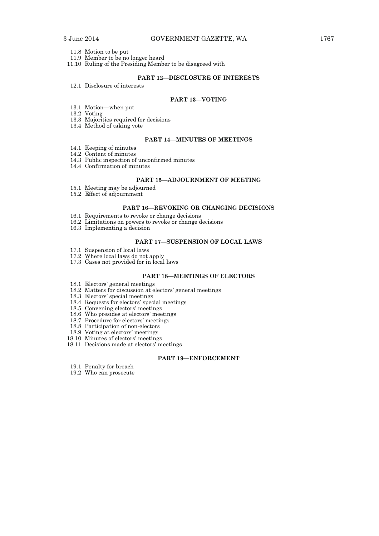- 11.8 Motion to be put
- 11.9 Member to be no longer heard
- 11.10 Ruling of the Presiding Member to be disagreed with

## **PART 12—DISCLOSURE OF INTERESTS**

12.1 Disclosure of interests

## **PART 13—VOTING**

- 13.1 Motion—when put
- 13.2 Voting
	- 13.3 Majorities required for decisions
	- 13.4 Method of taking vote

## **PART 14—MINUTES OF MEETINGS**

- 14.1 Keeping of minutes
- 14.2 Content of minutes
- 14.3 Public inspection of unconfirmed minutes
- 14.4 Confirmation of minutes

## **PART 15—ADJOURNMENT OF MEETING**

- 15.1 Meeting may be adjourned
- 15.2 Effect of adjournment

## **PART 16—REVOKING OR CHANGING DECISIONS**

- 16.1 Requirements to revoke or change decisions
- 16.2 Limitations on powers to revoke or change decisions
- 16.3 Implementing a decision

## **PART 17—SUSPENSION OF LOCAL LAWS**

- 17.1 Suspension of local laws
- 17.2 Where local laws do not apply
- 17.3 Cases not provided for in local laws

## **PART 18—MEETINGS OF ELECTORS**

- 18.1 Electors' general meetings
- 18.2 Matters for discussion at electors' general meetings
- 18.3 Electors' special meetings
- 18.4 Requests for electors' special meetings
- 18.5 Convening electors' meetings
- 18.6 Who presides at electors' meetings
- 18.7 Procedure for electors' meetings
	- 18.8 Participation of non-electors
- 18.9 Voting at electors' meetings
- 18.10 Minutes of electors' meetings
- 18.11 Decisions made at electors' meetings

## **PART 19—ENFORCEMENT**

- 19.1 Penalty for breach
- 19.2 Who can prosecute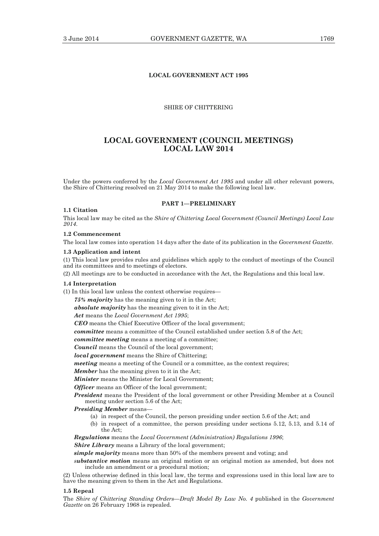## **LOCAL GOVERNMENT ACT 1995**

## SHIRE OF CHITTERING

## **LOCAL GOVERNMENT (COUNCIL MEETINGS) LOCAL LAW 2014**

Under the powers conferred by the *Local Government Act 1995* and under all other relevant powers, the Shire of Chittering resolved on 21 May 2014 to make the following local law.

#### **PART 1—PRELIMINARY**

#### **1.1 Citation**

This local law may be cited as the *Shire of Chittering Local Government (Council Meetings) Local Law 2014*.

## **1.2 Commencement**

The local law comes into operation 14 days after the date of its publication in the *Government Gazette*.

#### **1.3 Application and intent**

(1) This local law provides rules and guidelines which apply to the conduct of meetings of the Council and its committees and to meetings of electors.

(2) All meetings are to be conducted in accordance with the Act, the Regulations and this local law.

#### **1.4 Interpretation**

(1) In this local law unless the context otherwise requires—

*75% majority* has the meaning given to it in the Act;

*absolute majority* has the meaning given to it in the Act;

*Act* means the *Local Government Act 1995*;

*CEO* means the Chief Executive Officer of the local government;

*committee* means a committee of the Council established under section 5.8 of the Act;

*committee meeting* means a meeting of a committee;

*Council* means the Council of the local government;

*local government* means the Shire of Chittering;

*meeting* means a meeting of the Council or a committee, as the context requires;

## *Member* has the meaning given to it in the Act;

*Minister* means the Minister for Local Government;

*Officer* means an Officer of the local government:

*President* means the President of the local government or other Presiding Member at a Council meeting under section 5.6 of the Act;

#### *Presiding Member* means—

- (a) in respect of the Council, the person presiding under section 5.6 of the Act; and
- (b) in respect of a committee, the person presiding under sections 5.12, 5.13, and 5.14 of the Act;

*Regulations* means the *Local Government (Administration) Regulations 1996*;

*Shire Library* means a Library of the local government;

*simple majority* means more than 50% of the members present and voting; and

*substantive motion* means an original motion or an original motion as amended, but does not include an amendment or a procedural motion;

(2) Unless otherwise defined in this local law, the terms and expressions used in this local law are to have the meaning given to them in the Act and Regulations.

#### **1.5 Repeal**

The *Shire of Chittering Standing Orders—Draft Model By Law No. 4* published in the *Government Gazette* on 26 February 1968 is repealed.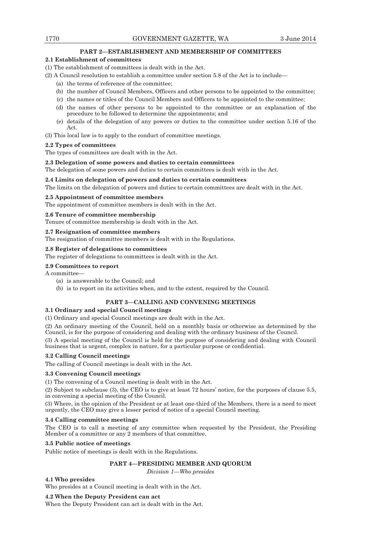## **PART 2—ESTABLISHMENT AND MEMBERSHIP OF COMMITTEES**

## **2.1 Establishment of committees**

(1) The establishment of committees is dealt with in the Act.

- (2) A Council resolution to establish a committee under section 5.8 of the Act is to include—
	- (a) the terms of reference of the committee;
	- (b) the number of Council Members, Officers and other persons to be appointed to the committee;
	- (c) the names or titles of the Council Members and Officers to be appointed to the committee;
	- (d) the names of other persons to be appointed to the committee or an explanation of the procedure to be followed to determine the appointments; and
	- (e) details of the delegation of any powers or duties to the committee under section 5.16 of the Act.

(3) This local law is to apply to the conduct of committee meetings.

## **2.2 Types of committees**

The types of committees are dealt with in the Act.

## **2.3 Delegation of some powers and duties to certain committees**

The delegation of some powers and duties to certain committees is dealt with in the Act.

## **2.4 Limits on delegation of powers and duties to certain committees**

The limits on the delegation of powers and duties to certain committees are dealt with in the Act.

## **2.5 Appointment of committee members**

The appointment of committee members is dealt with in the Act.

## **2.6 Tenure of committee membership**

Tenure of committee membership is dealt with in the Act.

## **2.7 Resignation of committee members**

The resignation of committee members is dealt with in the Regulations.

## **2.8 Register of delegations to committees**

The register of delegations to committees is dealt with in the Act.

## **2.9 Committees to report**

A committee—

- (a) is answerable to the Council; and
- (b) is to report on its activities when, and to the extent, required by the Council.

## **PART 3—CALLING AND CONVENING MEETINGS**

## **3.1 Ordinary and special Council meetings**

(1) Ordinary and special Council meetings are dealt with in the Act.

(2) An ordinary meeting of the Council, held on a monthly basis or otherwise as determined by the Council, is for the purpose of considering and dealing with the ordinary business of the Council.

(3) A special meeting of the Council is held for the purpose of considering and dealing with Council business that is urgent, complex in nature, for a particular purpose or confidential.

## **3.2 Calling Council meetings**

The calling of Council meetings is dealt with in the Act.

## **3.3 Convening Council meetings**

(1) The convening of a Council meeting is dealt with in the Act.

(2) Subject to subclause (3), the CEO is to give at least 72 hours' notice, for the purposes of clause 5.5, in convening a special meeting of the Council.

(3) Where, in the opinion of the President or at least one-third of the Members, there is a need to meet urgently, the CEO may give a lesser period of notice of a special Council meeting.

## **3.4 Calling committee meetings**

The CEO is to call a meeting of any committee when requested by the President, the Presiding Member of a committee or any 2 members of that committee.

## **3.5 Public notice of meetings**

Public notice of meetings is dealt with in the Regulations.

## **PART 4—PRESIDING MEMBER AND QUORUM**

*Division 1—Who presides* 

## **4.1 Who presides**

Who presides at a Council meeting is dealt with in the Act.

## **4.2 When the Deputy President can act**

When the Deputy President can act is dealt with in the Act.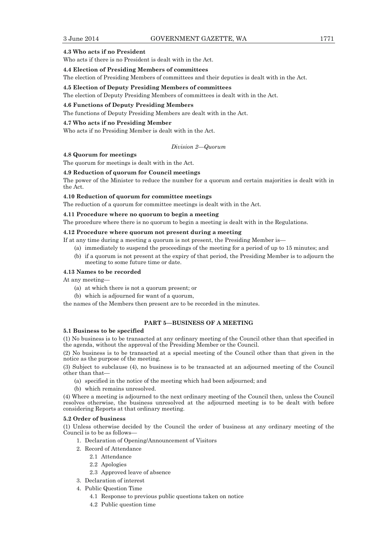#### **4.3 Who acts if no President**

Who acts if there is no President is dealt with in the Act.

**4.4 Election of Presiding Members of committees** 

The election of Presiding Members of committees and their deputies is dealt with in the Act.

#### **4.5 Election of Deputy Presiding Members of committees**

The election of Deputy Presiding Members of committees is dealt with in the Act.

#### **4.6 Functions of Deputy Presiding Members**

The functions of Deputy Presiding Members are dealt with in the Act.

## **4.7 Who acts if no Presiding Member**

Who acts if no Presiding Member is dealt with in the Act.

*Division 2—Quorum* 

## **4.8 Quorum for meetings**

The quorum for meetings is dealt with in the Act.

#### **4.9 Reduction of quorum for Council meetings**

The power of the Minister to reduce the number for a quorum and certain majorities is dealt with in the Act.

## **4.10 Reduction of quorum for committee meetings**

The reduction of a quorum for committee meetings is dealt with in the Act.

## **4.11 Procedure where no quorum to begin a meeting**

The procedure where there is no quorum to begin a meeting is dealt with in the Regulations.

## **4.12 Procedure where quorum not present during a meeting**

If at any time during a meeting a quorum is not present, the Presiding Member is—

- (a) immediately to suspend the proceedings of the meeting for a period of up to 15 minutes; and
- (b) if a quorum is not present at the expiry of that period, the Presiding Member is to adjourn the meeting to some future time or date.

### **4.13 Names to be recorded**

At any meeting—

- (a) at which there is not a quorum present; or
- (b) which is adjourned for want of a quorum,

the names of the Members then present are to be recorded in the minutes.

## **PART 5—BUSINESS OF A MEETING**

#### **5.1 Business to be specified**

(1) No business is to be transacted at any ordinary meeting of the Council other than that specified in the agenda, without the approval of the Presiding Member or the Council.

(2) No business is to be transacted at a special meeting of the Council other than that given in the notice as the purpose of the meeting.

(3) Subject to subclause (4), no business is to be transacted at an adjourned meeting of the Council other than that—

- (a) specified in the notice of the meeting which had been adjourned; and
- (b) which remains unresolved.

(4) Where a meeting is adjourned to the next ordinary meeting of the Council then, unless the Council resolves otherwise, the business unresolved at the adjourned meeting is to be dealt with before considering Reports at that ordinary meeting.

## **5.2 Order of business**

(1) Unless otherwise decided by the Council the order of business at any ordinary meeting of the Council is to be as follows—

- 1. Declaration of Opening/Announcement of Visitors
- 2. Record of Attendance
	- 2.1 Attendance
	- 2.2 Apologies
	- 2.3 Approved leave of absence
- 3. Declaration of interest
- 4. Public Question Time
	- 4.1 Response to previous public questions taken on notice
	- 4.2 Public question time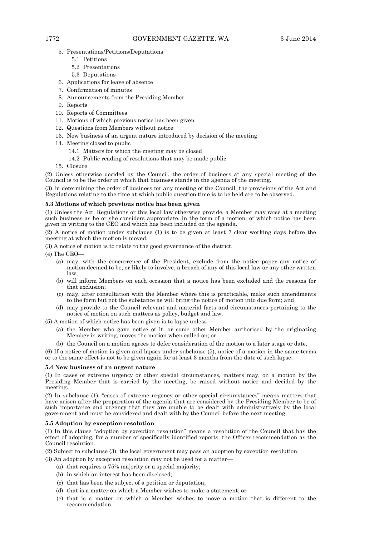- 5. Presentations/Petitions/Deputations
	- 5.1 Petitions
	- 5.2 Presentations
	- 5.3 Deputations
- 6. Applications for leave of absence
- 7. Confirmation of minutes
- 8. Announcements from the Presiding Member
- 9. Reports
- 10. Reports of Committees
- 11. Motions of which previous notice has been given
- 12. Questions from Members without notice
- 13. New business of an urgent nature introduced by decision of the meeting
- 14. Meeting closed to public
	- 14.1 Matters for which the meeting may be closed
	- 14.2 Public reading of resolutions that may be made public
- 15. Closure

(2) Unless otherwise decided by the Council, the order of business at any special meeting of the Council is to be the order in which that business stands in the agenda of the meeting.

(3) In determining the order of business for any meeting of the Council, the provisions of the Act and Regulations relating to the time at which public question time is to be held are to be observed.

## **5.3 Motions of which previous notice has been given**

(1) Unless the Act, Regulations or this local law otherwise provide, a Member may raise at a meeting such business as he or she considers appropriate, in the form of a motion, of which notice has been given in writing to the CEO and which has been included on the agenda.

(2) A notice of motion under subclause (1) is to be given at least 7 clear working days before the meeting at which the motion is moved.

(3) A notice of motion is to relate to the good governance of the district.

(4) The CEO—

- (a) may, with the concurrence of the President, exclude from the notice paper any notice of motion deemed to be, or likely to involve, a breach of any of this local law or any other written law;
- (b) will inform Members on each occasion that a notice has been excluded and the reasons for that exclusion;
- (c) may, after consultation with the Member where this is practicable, make such amendments to the form but not the substance as will bring the notice of motion into due form; and
- (d) may provide to the Council relevant and material facts and circumstances pertaining to the notice of motion on such matters as policy, budget and law.

(5) A motion of which notice has been given is to lapse unless—

- (a) the Member who gave notice of it, or some other Member authorised by the originating Member in writing, moves the motion when called on; or
- (b) the Council on a motion agrees to defer consideration of the motion to a later stage or date.

(6) If a notice of motion is given and lapses under subclause (5), notice of a motion in the same terms or to the same effect is not to be given again for at least 3 months from the date of such lapse.

## **5.4 New business of an urgent nature**

(1) In cases of extreme urgency or other special circumstances, matters may, on a motion by the Presiding Member that is carried by the meeting, be raised without notice and decided by the meeting.

(2) In subclause (1), "cases of extreme urgency or other special circumstances" means matters that have arisen after the preparation of the agenda that are considered by the Presiding Member to be of such importance and urgency that they are unable to be dealt with administratively by the local government and must be considered and dealt with by the Council before the next meeting.

## **5.5 Adoption by exception resolution**

(1) In this clause "adoption by exception resolution" means a resolution of the Council that has the effect of adopting, for a number of specifically identified reports, the Officer recommendation as the Council resolution.

(2) Subject to subclause (3), the local government may pass an adoption by exception resolution.

- (3) An adoption by exception resolution may not be used for a matter—
	- (a) that requires a 75% majority or a special majority;
	- (b) in which an interest has been disclosed;
	- (c) that has been the subject of a petition or deputation;
	- (d) that is a matter on which a Member wishes to make a statement; or
	- (e) that is a matter on which a Member wishes to move a motion that is different to the recommendation.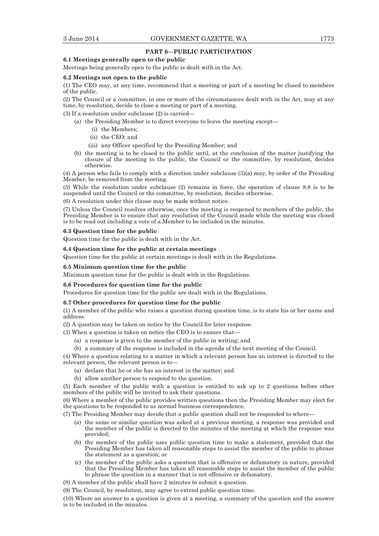#### **PART 6—PUBLIC PARTICIPATION**

## **6.1 Meetings generally open to the public**

Meetings being generally open to the public is dealt with in the Act.

#### **6.2 Meetings not open to the public**

(1) The CEO may, at any time, recommend that a meeting or part of a meeting be closed to members of the public.

(2) The Council or a committee, in one or more of the circumstances dealt with in the Act, may at any time, by resolution, decide to close a meeting or part of a meeting.

(3) If a resolution under subclause (2) is carried—

- (a) the Presiding Member is to direct everyone to leave the meeting except—
	- (i) the Members;
	- (ii) the CEO; and
	- (iii) any Officer specified by the Presiding Member; and
- (b) the meeting is to be closed to the public until, at the conclusion of the matter justifying the closure of the meeting to the public, the Council or the committee, by resolution, decides otherwise.

(4) A person who fails to comply with a direction under subclause (3)(a) may, by order of the Presiding Member, be removed from the meeting.

(5) While the resolution under subclause (2) remains in force, the operation of clause 8.8 is to be suspended until the Council or the committee, by resolution, decides otherwise.

(6) A resolution under this clause may be made without notice.

(7) Unless the Council resolves otherwise, once the meeting is reopened to members of the public, the Presiding Member is to ensure that any resolution of the Council made while the meeting was closed is to be read out including a vote of a Member to be included in the minutes.

#### **6.3 Question time for the public**

Question time for the public is dealt with in the Act.

#### **6.4 Question time for the public at certain meetings**

Question time for the public at certain meetings is dealt with in the Regulations.

#### **6.5 Minimum question time for the public**

Minimum question time for the public is dealt with in the Regulations.

#### **6.6 Procedures for question time for the public**

Procedures for question time for the public are dealt with in the Regulations.

#### **6.7 Other procedures for question time for the public**

(1) A member of the public who raises a question during question time, is to state his or her name and address.

(2) A question may be taken on notice by the Council for later response.

- (3) When a question is taken on notice the CEO is to ensure that—
	- (a) a response is given to the member of the public in writing; and
	- (b) a summary of the response is included in the agenda of the next meeting of the Council.

(4) Where a question relating to a matter in which a relevant person has an interest is directed to the relevant person, the relevant person is to—

- (a) declare that he or she has an interest in the matter; and
- (b) allow another person to respond to the question.

(5) Each member of the public with a question is entitled to ask up to 2 questions before other members of the public will be invited to ask their questions.

(6) Where a member of the public provides written questions then the Presiding Member may elect for the questions to be responded to as normal business correspondence.

(7) The Presiding Member may decide that a public question shall not be responded to where—

- (a) the same or similar question was asked at a previous meeting, a response was provided and the member of the public is directed to the minutes of the meeting at which the response was provided;
- (b) the member of the public uses public question time to make a statement, provided that the Presiding Member has taken all reasonable steps to assist the member of the public to phrase the statement as a question; or
- (c) the member of the public asks a question that is offensive or defamatory in nature, provided that the Presiding Member has taken all reasonable steps to assist the member of the public to phrase the question in a manner that is not offensive or defamatory.
- (8) A member of the public shall have 2 minutes to submit a question.

(9) The Council, by resolution, may agree to extend public question time.

(10) Where an answer to a question is given at a meeting, a summary of the question and the answer is to be included in the minutes.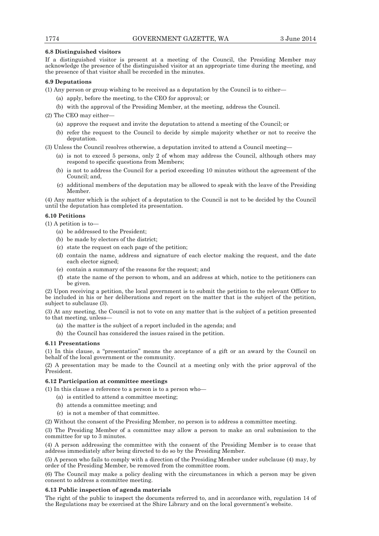## **6.8 Distinguished visitors**

If a distinguished visitor is present at a meeting of the Council, the Presiding Member may acknowledge the presence of the distinguished visitor at an appropriate time during the meeting, and the presence of that visitor shall be recorded in the minutes.

## **6.9 Deputations**

- (1) Any person or group wishing to be received as a deputation by the Council is to either—
	- (a) apply, before the meeting, to the CEO for approval; or
	- (b) with the approval of the Presiding Member, at the meeting, address the Council.

(2) The CEO may either—

- (a) approve the request and invite the deputation to attend a meeting of the Council; or
- (b) refer the request to the Council to decide by simple majority whether or not to receive the deputation.

(3) Unless the Council resolves otherwise, a deputation invited to attend a Council meeting—

- (a) is not to exceed 5 persons, only 2 of whom may address the Council, although others may respond to specific questions from Members;
- (b) is not to address the Council for a period exceeding 10 minutes without the agreement of the Council; and,
- (c) additional members of the deputation may be allowed to speak with the leave of the Presiding Member.

(4) Any matter which is the subject of a deputation to the Council is not to be decided by the Council until the deputation has completed its presentation.

## **6.10 Petitions**

(1) A petition is to—

- (a) be addressed to the President;
- (b) be made by electors of the district;
- (c) state the request on each page of the petition;
- (d) contain the name, address and signature of each elector making the request, and the date each elector signed;
- (e) contain a summary of the reasons for the request; and
- (f) state the name of the person to whom, and an address at which, notice to the petitioners can be given.

(2) Upon receiving a petition, the local government is to submit the petition to the relevant Officer to be included in his or her deliberations and report on the matter that is the subject of the petition, subject to subclause (3).

(3) At any meeting, the Council is not to vote on any matter that is the subject of a petition presented to that meeting, unless—

- (a) the matter is the subject of a report included in the agenda; and
- (b) the Council has considered the issues raised in the petition.

#### **6.11 Presentations**

(1) In this clause, a "presentation" means the acceptance of a gift or an award by the Council on behalf of the local government or the community.

(2) A presentation may be made to the Council at a meeting only with the prior approval of the President.

## **6.12 Participation at committee meetings**

- (1) In this clause a reference to a person is to a person who—
	- (a) is entitled to attend a committee meeting;
	- (b) attends a committee meeting; and
	- (c) is not a member of that committee.

(2) Without the consent of the Presiding Member, no person is to address a committee meeting.

(3) The Presiding Member of a committee may allow a person to make an oral submission to the committee for up to 3 minutes.

(4) A person addressing the committee with the consent of the Presiding Member is to cease that address immediately after being directed to do so by the Presiding Member.

(5) A person who fails to comply with a direction of the Presiding Member under subclause (4) may, by order of the Presiding Member, be removed from the committee room.

(6) The Council may make a policy dealing with the circumstances in which a person may be given consent to address a committee meeting.

## **6.13 Public inspection of agenda materials**

The right of the public to inspect the documents referred to, and in accordance with, regulation 14 of the Regulations may be exercised at the Shire Library and on the local government's website.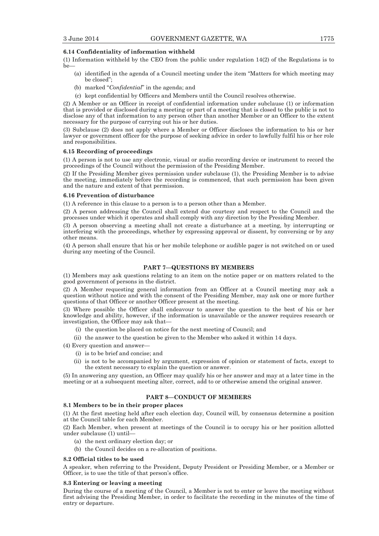#### **6.14 Confidentiality of information withheld**

(1) Information withheld by the CEO from the public under regulation 14(2) of the Regulations is to be-

- (a) identified in the agenda of a Council meeting under the item "Matters for which meeting may be closed";
- (b) marked "*Confidential*" in the agenda; and
- (c) kept confidential by Officers and Members until the Council resolves otherwise.

(2) A Member or an Officer in receipt of confidential information under subclause (1) or information that is provided or disclosed during a meeting or part of a meeting that is closed to the public is not to disclose any of that information to any person other than another Member or an Officer to the extent necessary for the purpose of carrying out his or her duties.

(3) Subclause (2) does not apply where a Member or Officer discloses the information to his or her lawyer or government officer for the purpose of seeking advice in order to lawfully fulfil his or her role and responsibilities.

#### **6.15 Recording of proceedings**

(1) A person is not to use any electronic, visual or audio recording device or instrument to record the proceedings of the Council without the permission of the Presiding Member.

(2) If the Presiding Member gives permission under subclause (1), the Presiding Member is to advise the meeting, immediately before the recording is commenced, that such permission has been given and the nature and extent of that permission.

#### **6.16 Prevention of disturbance**

(1) A reference in this clause to a person is to a person other than a Member.

(2) A person addressing the Council shall extend due courtesy and respect to the Council and the processes under which it operates and shall comply with any direction by the Presiding Member.

(3) A person observing a meeting shall not create a disturbance at a meeting, by interrupting or interfering with the proceedings, whether by expressing approval or dissent, by conversing or by any other means.

(4) A person shall ensure that his or her mobile telephone or audible pager is not switched on or used during any meeting of the Council.

## **PART 7—QUESTIONS BY MEMBERS**

(1) Members may ask questions relating to an item on the notice paper or on matters related to the good government of persons in the district.

(2) A Member requesting general information from an Officer at a Council meeting may ask a question without notice and with the consent of the Presiding Member, may ask one or more further questions of that Officer or another Officer present at the meeting.

(3) Where possible the Officer shall endeavour to answer the question to the best of his or her knowledge and ability, however, if the information is unavailable or the answer requires research or investigation, the Officer may ask that—

- (i) the question be placed on notice for the next meeting of Council; and
- (ii) the answer to the question be given to the Member who asked it within 14 days.

(4) Every question and answer—

- (i) is to be brief and concise; and
- (ii) is not to be accompanied by argument, expression of opinion or statement of facts, except to the extent necessary to explain the question or answer.

(5) In answering any question, an Officer may qualify his or her answer and may at a later time in the meeting or at a subsequent meeting alter, correct, add to or otherwise amend the original answer.

## **PART 8—CONDUCT OF MEMBERS**

## **8.1 Members to be in their proper places**

(1) At the first meeting held after each election day, Council will, by consensus determine a position at the Council table for each Member.

(2) Each Member, when present at meetings of the Council is to occupy his or her position allotted under subclause (1) until—

- (a) the next ordinary election day; or
- (b) the Council decides on a re-allocation of positions.

## **8.2 Official titles to be used**

A speaker, when referring to the President, Deputy President or Presiding Member, or a Member or Officer, is to use the title of that person's office.

#### **8.3 Entering or leaving a meeting**

During the course of a meeting of the Council, a Member is not to enter or leave the meeting without first advising the Presiding Member, in order to facilitate the recording in the minutes of the time of entry or departure.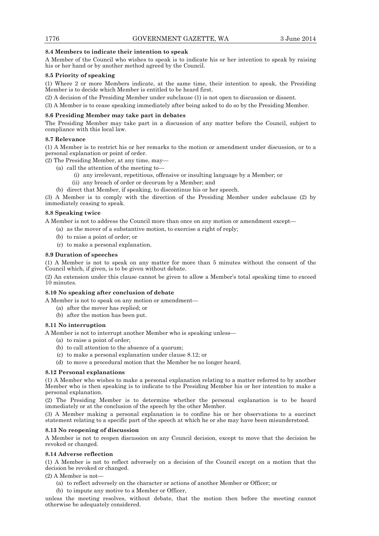## **8.4 Members to indicate their intention to speak**

A Member of the Council who wishes to speak is to indicate his or her intention to speak by raising his or her hand or by another method agreed by the Council.

## **8.5 Priority of speaking**

(1) Where 2 or more Members indicate, at the same time, their intention to speak, the Presiding Member is to decide which Member is entitled to be heard first.

(2) A decision of the Presiding Member under subclause (1) is not open to discussion or dissent.

(3) A Member is to cease speaking immediately after being asked to do so by the Presiding Member.

## **8.6 Presiding Member may take part in debates**

The Presiding Member may take part in a discussion of any matter before the Council, subject to compliance with this local law.

## **8.7 Relevance**

(1) A Member is to restrict his or her remarks to the motion or amendment under discussion, or to a personal explanation or point of order.

(2) The Presiding Member, at any time, may—

- (a) call the attention of the meeting to—
	- (i) any irrelevant, repetitious, offensive or insulting language by a Member; or
	- (ii) any breach of order or decorum by a Member; and
- (b) direct that Member, if speaking, to discontinue his or her speech.

(3) A Member is to comply with the direction of the Presiding Member under subclause (2) by immediately ceasing to speak.

## **8.8 Speaking twice**

A Member is not to address the Council more than once on any motion or amendment except—

- (a) as the mover of a substantive motion, to exercise a right of reply;
- (b) to raise a point of order; or
- (c) to make a personal explanation.

## **8.9 Duration of speeches**

(1) A Member is not to speak on any matter for more than 5 minutes without the consent of the Council which, if given, is to be given without debate.

(2) An extension under this clause cannot be given to allow a Member's total speaking time to exceed 10 minutes.

## **8.10 No speaking after conclusion of debate**

A Member is not to speak on any motion or amendment—

- (a) after the mover has replied; or
- (b) after the motion has been put.

## **8.11 No interruption**

A Member is not to interrupt another Member who is speaking unless—

- (a) to raise a point of order;
- (b) to call attention to the absence of a quorum;
- (c) to make a personal explanation under clause 8.12; or
- (d) to move a procedural motion that the Member be no longer heard.

## **8.12 Personal explanations**

(1) A Member who wishes to make a personal explanation relating to a matter referred to by another Member who is then speaking is to indicate to the Presiding Member his or her intention to make a personal explanation.

(2) The Presiding Member is to determine whether the personal explanation is to be heard immediately or at the conclusion of the speech by the other Member.

(3) A Member making a personal explanation is to confine his or her observations to a succinct statement relating to a specific part of the speech at which he or she may have been misunderstood.

## **8.13 No reopening of discussion**

A Member is not to reopen discussion on any Council decision, except to move that the decision be revoked or changed.

## **8.14 Adverse reflection**

(1) A Member is not to reflect adversely on a decision of the Council except on a motion that the decision be revoked or changed.

 $(2)$  A Member is not-

- (a) to reflect adversely on the character or actions of another Member or Officer; or
- (b) to impute any motive to a Member or Officer,

unless the meeting resolves, without debate, that the motion then before the meeting cannot otherwise be adequately considered.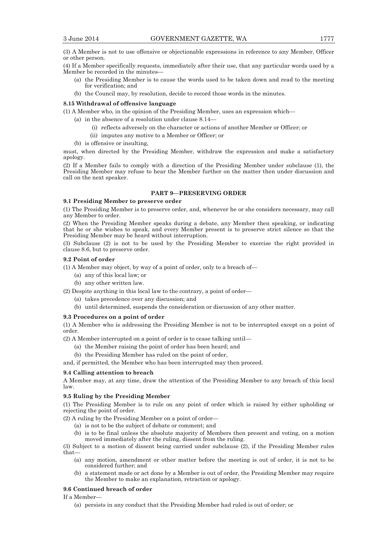(3) A Member is not to use offensive or objectionable expressions in reference to any Member, Officer or other person.

(4) If a Member specifically requests, immediately after their use, that any particular words used by a Member be recorded in the minutes—

- (a) the Presiding Member is to cause the words used to be taken down and read to the meeting for verification; and
- (b) the Council may, by resolution, decide to record those words in the minutes.

#### **8.15 Withdrawal of offensive language**

(1) A Member who, in the opinion of the Presiding Member, uses an expression which—

- (a) in the absence of a resolution under clause 8.14—
	- (i) reflects adversely on the character or actions of another Member or Officer; or
	- (ii) imputes any motive to a Member or Officer; or
- (b) is offensive or insulting,

must, when directed by the Presiding Member, withdraw the expression and make a satisfactory apology.

(2) If a Member fails to comply with a direction of the Presiding Member under subclause (1), the Presiding Member may refuse to hear the Member further on the matter then under discussion and call on the next speaker.

## **PART 9—PRESERVING ORDER**

#### **9.1 Presiding Member to preserve order**

(1) The Presiding Member is to preserve order, and, whenever he or she considers necessary, may call any Member to order.

(2) When the Presiding Member speaks during a debate, any Member then speaking, or indicating that he or she wishes to speak, and every Member present is to preserve strict silence so that the Presiding Member may be heard without interruption.

(3) Subclause (2) is not to be used by the Presiding Member to exercise the right provided in clause 8.6, but to preserve order.

#### **9.2 Point of order**

(1) A Member may object, by way of a point of order, only to a breach of—

- (a) any of this local law; or
- (b) any other written law.

(2) Despite anything in this local law to the contrary, a point of order—

- (a) takes precedence over any discussion; and
- (b) until determined, suspends the consideration or discussion of any other matter.

#### **9.3 Procedures on a point of order**

(1) A Member who is addressing the Presiding Member is not to be interrupted except on a point of order.

(2) A Member interrupted on a point of order is to cease talking until—

- (a) the Member raising the point of order has been heard; and
- (b) the Presiding Member has ruled on the point of order,

and, if permitted, the Member who has been interrupted may then proceed.

## **9.4 Calling attention to breach**

A Member may, at any time, draw the attention of the Presiding Member to any breach of this local law.

## **9.5 Ruling by the Presiding Member**

(1) The Presiding Member is to rule on any point of order which is raised by either upholding or rejecting the point of order.

(2) A ruling by the Presiding Member on a point of order—

- (a) is not to be the subject of debate or comment; and
- (b) is to be final unless the absolute majority of Members then present and voting, on a motion moved immediately after the ruling, dissent from the ruling.

(3) Subject to a motion of dissent being carried under subclause (2), if the Presiding Member rules that—

- (a) any motion, amendment or other matter before the meeting is out of order, it is not to be considered further; and
- (b) a statement made or act done by a Member is out of order, the Presiding Member may require the Member to make an explanation, retraction or apology.

#### **9.6 Continued breach of order**

If a Member—

(a) persists in any conduct that the Presiding Member had ruled is out of order; or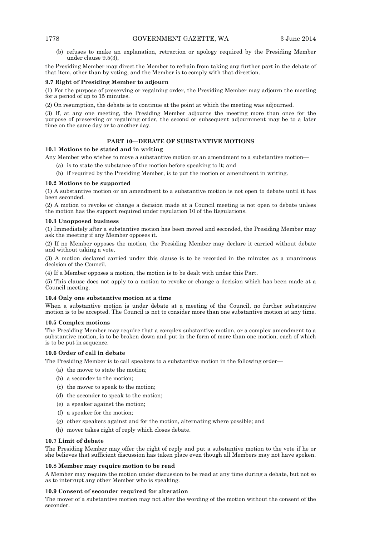(b) refuses to make an explanation, retraction or apology required by the Presiding Member under clause 9.5(3),

the Presiding Member may direct the Member to refrain from taking any further part in the debate of that item, other than by voting, and the Member is to comply with that direction.

## **9.7 Right of Presiding Member to adjourn**

(1) For the purpose of preserving or regaining order, the Presiding Member may adjourn the meeting for a period of up to 15 minutes.

(2) On resumption, the debate is to continue at the point at which the meeting was adjourned.

(3) If, at any one meeting, the Presiding Member adjourns the meeting more than once for the purpose of preserving or regaining order, the second or subsequent adjournment may be to a later time on the same day or to another day.

## **PART 10—DEBATE OF SUBSTANTIVE MOTIONS**

## **10.1 Motions to be stated and in writing**

Any Member who wishes to move a substantive motion or an amendment to a substantive motion—

- (a) is to state the substance of the motion before speaking to it; and
- (b) if required by the Presiding Member, is to put the motion or amendment in writing.

## **10.2 Motions to be supported**

(1) A substantive motion or an amendment to a substantive motion is not open to debate until it has been seconded.

(2) A motion to revoke or change a decision made at a Council meeting is not open to debate unless the motion has the support required under regulation 10 of the Regulations.

## **10.3 Unopposed business**

(1) Immediately after a substantive motion has been moved and seconded, the Presiding Member may ask the meeting if any Member opposes it.

(2) If no Member opposes the motion, the Presiding Member may declare it carried without debate and without taking a vote.

(3) A motion declared carried under this clause is to be recorded in the minutes as a unanimous decision of the Council.

(4) If a Member opposes a motion, the motion is to be dealt with under this Part.

(5) This clause does not apply to a motion to revoke or change a decision which has been made at a Council meeting.

#### **10.4 Only one substantive motion at a time**

When a substantive motion is under debate at a meeting of the Council, no further substantive motion is to be accepted. The Council is not to consider more than one substantive motion at any time.

#### **10.5 Complex motions**

The Presiding Member may require that a complex substantive motion, or a complex amendment to a substantive motion, is to be broken down and put in the form of more than one motion, each of which is to be put in sequence.

## **10.6 Order of call in debate**

The Presiding Member is to call speakers to a substantive motion in the following order—

- (a) the mover to state the motion;
- (b) a seconder to the motion;
- (c) the mover to speak to the motion;
- (d) the seconder to speak to the motion;
- (e) a speaker against the motion;
- (f) a speaker for the motion;
- (g) other speakers against and for the motion, alternating where possible; and
- (h) mover takes right of reply which closes debate.

#### **10.7 Limit of debate**

The Presiding Member may offer the right of reply and put a substantive motion to the vote if he or she believes that sufficient discussion has taken place even though all Members may not have spoken.

## **10.8 Member may require motion to be read**

A Member may require the motion under discussion to be read at any time during a debate, but not so as to interrupt any other Member who is speaking.

## **10.9 Consent of seconder required for alteration**

The mover of a substantive motion may not alter the wording of the motion without the consent of the seconder.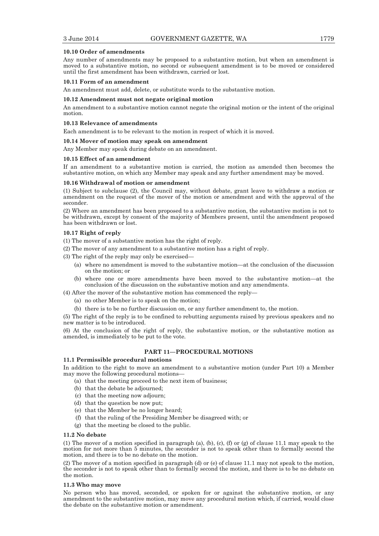#### **10.10 Order of amendments**

Any number of amendments may be proposed to a substantive motion, but when an amendment is moved to a substantive motion, no second or subsequent amendment is to be moved or considered until the first amendment has been withdrawn, carried or lost.

#### **10.11 Form of an amendment**

An amendment must add, delete, or substitute words to the substantive motion.

#### **10.12 Amendment must not negate original motion**

An amendment to a substantive motion cannot negate the original motion or the intent of the original motion.

#### **10.13 Relevance of amendments**

Each amendment is to be relevant to the motion in respect of which it is moved.

#### **10.14 Mover of motion may speak on amendment**

Any Member may speak during debate on an amendment.

#### **10.15 Effect of an amendment**

If an amendment to a substantive motion is carried, the motion as amended then becomes the substantive motion, on which any Member may speak and any further amendment may be moved.

#### **10.16 Withdrawal of motion or amendment**

(1) Subject to subclause (2), the Council may, without debate, grant leave to withdraw a motion or amendment on the request of the mover of the motion or amendment and with the approval of the seconder.

(2) Where an amendment has been proposed to a substantive motion, the substantive motion is not to be withdrawn, except by consent of the majority of Members present, until the amendment proposed has been withdrawn or lost.

#### **10.17 Right of reply**

(1) The mover of a substantive motion has the right of reply.

- (2) The mover of any amendment to a substantive motion has a right of reply.
- (3) The right of the reply may only be exercised—
	- (a) where no amendment is moved to the substantive motion—at the conclusion of the discussion on the motion; or
	- (b) where one or more amendments have been moved to the substantive motion—at the conclusion of the discussion on the substantive motion and any amendments.

(4) After the mover of the substantive motion has commenced the reply—

- (a) no other Member is to speak on the motion;
- (b) there is to be no further discussion on, or any further amendment to, the motion.

(5) The right of the reply is to be confined to rebutting arguments raised by previous speakers and no new matter is to be introduced.

(6) At the conclusion of the right of reply, the substantive motion, or the substantive motion as amended, is immediately to be put to the vote.

## **PART 11—PROCEDURAL MOTIONS**

## **11.1 Permissible procedural motions**

In addition to the right to move an amendment to a substantive motion (under Part 10) a Member may move the following procedural motions—

- (a) that the meeting proceed to the next item of business;
- (b) that the debate be adjourned;
- (c) that the meeting now adjourn;
- (d) that the question be now put;
- (e) that the Member be no longer heard;
- (f) that the ruling of the Presiding Member be disagreed with; or
- (g) that the meeting be closed to the public.

#### **11.2 No debate**

(1) The mover of a motion specified in paragraph (a), (b), (c), (f) or (g) of clause 11.1 may speak to the motion for not more than 5 minutes, the seconder is not to speak other than to formally second the motion, and there is to be no debate on the motion.

(2) The mover of a motion specified in paragraph (d) or (e) of clause 11.1 may not speak to the motion, the seconder is not to speak other than to formally second the motion, and there is to be no debate on the motion.

#### **11.3 Who may move**

No person who has moved, seconded, or spoken for or against the substantive motion, or any amendment to the substantive motion, may move any procedural motion which, if carried, would close the debate on the substantive motion or amendment.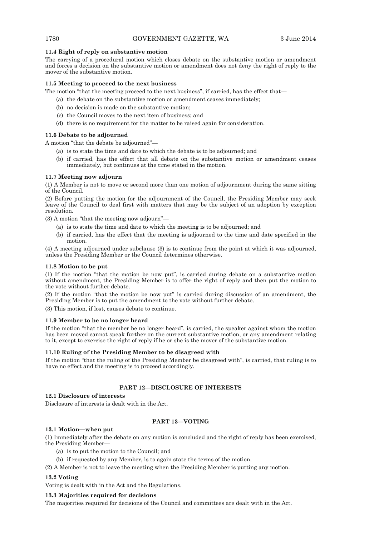**11.4 Right of reply on substantive motion**  The carrying of a procedural motion which closes debate on the substantive motion or amendment and forces a decision on the substantive motion or amendment does not deny the right of reply to the mover of the substantive motion.

## **11.5 Meeting to proceed to the next business**

The motion "that the meeting proceed to the next business", if carried, has the effect that—

- (a) the debate on the substantive motion or amendment ceases immediately;
- (b) no decision is made on the substantive motion;
- (c) the Council moves to the next item of business; and
- (d) there is no requirement for the matter to be raised again for consideration.

## **11.6 Debate to be adjourned**

A motion "that the debate be adjourned"—

- (a) is to state the time and date to which the debate is to be adjourned; and
- (b) if carried, has the effect that all debate on the substantive motion or amendment ceases immediately, but continues at the time stated in the motion.

## **11.7 Meeting now adjourn**

(1) A Member is not to move or second more than one motion of adjournment during the same sitting of the Council.

(2) Before putting the motion for the adjournment of the Council, the Presiding Member may seek leave of the Council to deal first with matters that may be the subject of an adoption by exception resolution.

(3) A motion "that the meeting now adjourn"—

- (a) is to state the time and date to which the meeting is to be adjourned; and
- (b) if carried, has the effect that the meeting is adjourned to the time and date specified in the motion.

(4) A meeting adjourned under subclause (3) is to continue from the point at which it was adjourned, unless the Presiding Member or the Council determines otherwise.

#### **11.8 Motion to be put**

(1) If the motion "that the motion be now put", is carried during debate on a substantive motion without amendment, the Presiding Member is to offer the right of reply and then put the motion to the vote without further debate.

(2) If the motion "that the motion be now put" is carried during discussion of an amendment, the Presiding Member is to put the amendment to the vote without further debate.

(3) This motion, if lost, causes debate to continue.

#### **11.9 Member to be no longer heard**

If the motion "that the member be no longer heard", is carried, the speaker against whom the motion has been moved cannot speak further on the current substantive motion, or any amendment relating to it, except to exercise the right of reply if he or she is the mover of the substantive motion.

#### **11.10 Ruling of the Presiding Member to be disagreed with**

If the motion "that the ruling of the Presiding Member be disagreed with", is carried, that ruling is to have no effect and the meeting is to proceed accordingly.

## **PART 12—DISCLOSURE OF INTERESTS**

## **12.1 Disclosure of interests**

Disclosure of interests is dealt with in the Act.

## **PART 13—VOTING**

#### **13.1 Motion—when put**

(1) Immediately after the debate on any motion is concluded and the right of reply has been exercised, the Presiding Member—

- (a) is to put the motion to the Council; and
- (b) if requested by any Member, is to again state the terms of the motion.
- (2) A Member is not to leave the meeting when the Presiding Member is putting any motion.

## **13.2 Voting**

Voting is dealt with in the Act and the Regulations.

## **13.3 Majorities required for decisions**

The majorities required for decisions of the Council and committees are dealt with in the Act.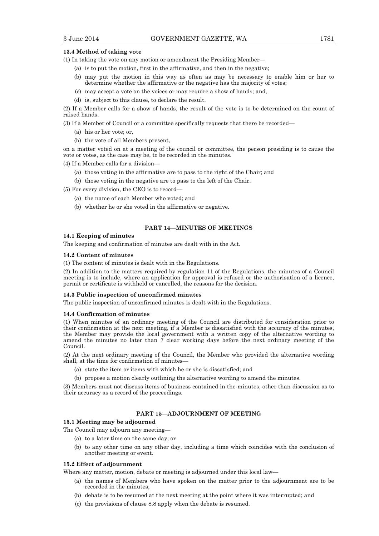## **13.4 Method of taking vote**

- (1) In taking the vote on any motion or amendment the Presiding Member—
	- (a) is to put the motion, first in the affirmative, and then in the negative;
	- (b) may put the motion in this way as often as may be necessary to enable him or her to determine whether the affirmative or the negative has the majority of votes;
	- (c) may accept a vote on the voices or may require a show of hands; and,
	- (d) is, subject to this clause, to declare the result.

(2) If a Member calls for a show of hands, the result of the vote is to be determined on the count of raised hands.

(3) If a Member of Council or a committee specifically requests that there be recorded—

- (a) his or her vote; or,
- (b) the vote of all Members present,

on a matter voted on at a meeting of the council or committee, the person presiding is to cause the vote or votes, as the case may be, to be recorded in the minutes.

(4) If a Member calls for a division—

- (a) those voting in the affirmative are to pass to the right of the Chair; and
- (b) those voting in the negative are to pass to the left of the Chair.

(5) For every division, the CEO is to record—

- (a) the name of each Member who voted; and
- (b) whether he or she voted in the affirmative or negative.

## **PART 14—MINUTES OF MEETINGS**

## **14.1 Keeping of minutes**

The keeping and confirmation of minutes are dealt with in the Act.

#### **14.2 Content of minutes**

(1) The content of minutes is dealt with in the Regulations.

(2) In addition to the matters required by regulation 11 of the Regulations, the minutes of a Council meeting is to include, where an application for approval is refused or the authorisation of a licence, permit or certificate is withheld or cancelled, the reasons for the decision.

## **14.3 Public inspection of unconfirmed minutes**

The public inspection of unconfirmed minutes is dealt with in the Regulations.

#### **14.4 Confirmation of minutes**

(1) When minutes of an ordinary meeting of the Council are distributed for consideration prior to their confirmation at the next meeting, if a Member is dissatisfied with the accuracy of the minutes, the Member may provide the local government with a written copy of the alternative wording to amend the minutes no later than 7 clear working days before the next ordinary meeting of the Council.

(2) At the next ordinary meeting of the Council, the Member who provided the alternative wording shall, at the time for confirmation of minutes—

- (a) state the item or items with which he or she is dissatisfied; and
- (b) propose a motion clearly outlining the alternative wording to amend the minutes.

(3) Members must not discuss items of business contained in the minutes, other than discussion as to their accuracy as a record of the proceedings.

## **PART 15—ADJOURNMENT OF MEETING**

## **15.1 Meeting may be adjourned**

The Council may adjourn any meeting—

- (a) to a later time on the same day; or
- (b) to any other time on any other day, including a time which coincides with the conclusion of another meeting or event.

#### **15.2 Effect of adjournment**

Where any matter, motion, debate or meeting is adjourned under this local law—

- (a) the names of Members who have spoken on the matter prior to the adjournment are to be recorded in the minutes;
- (b) debate is to be resumed at the next meeting at the point where it was interrupted; and
- (c) the provisions of clause 8.8 apply when the debate is resumed.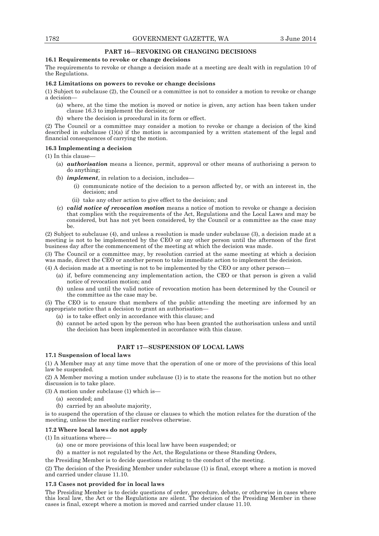## **PART 16—REVOKING OR CHANGING DECISIONS**

#### **16.1 Requirements to revoke or change decisions**

The requirements to revoke or change a decision made at a meeting are dealt with in regulation 10 of the Regulations.

#### **16.2 Limitations on powers to revoke or change decisions**

(1) Subject to subclause (2), the Council or a committee is not to consider a motion to revoke or change a decision—

- (a) where, at the time the motion is moved or notice is given, any action has been taken under clause 16.3 to implement the decision; or
- (b) where the decision is procedural in its form or effect.

(2) The Council or a committee may consider a motion to revoke or change a decision of the kind described in subclause (1)(a) if the motion is accompanied by a written statement of the legal and financial consequences of carrying the motion.

## **16.3 Implementing a decision**

(1) In this clause—

- (a) *authorisation* means a licence, permit, approval or other means of authorising a person to do anything;
- (b) *implement*, in relation to a decision, includes—
	- (i) communicate notice of the decision to a person affected by, or with an interest in, the decision; and
	- (ii) take any other action to give effect to the decision; and
- (c) *valid notice of revocation motion* means a notice of motion to revoke or change a decision that complies with the requirements of the Act, Regulations and the Local Laws and may be considered, but has not yet been considered, by the Council or a committee as the case may be.

(2) Subject to subclause (4), and unless a resolution is made under subclause (3), a decision made at a meeting is not to be implemented by the CEO or any other person until the afternoon of the first business day after the commencement of the meeting at which the decision was made.

(3) The Council or a committee may, by resolution carried at the same meeting at which a decision was made, direct the CEO or another person to take immediate action to implement the decision.

(4) A decision made at a meeting is not to be implemented by the CEO or any other person—

- (a) if, before commencing any implementation action, the CEO or that person is given a valid notice of revocation motion; and
- (b) unless and until the valid notice of revocation motion has been determined by the Council or the committee as the case may be.

(5) The CEO is to ensure that members of the public attending the meeting are informed by an appropriate notice that a decision to grant an authorisation—

- (a) is to take effect only in accordance with this clause; and
- (b) cannot be acted upon by the person who has been granted the authorisation unless and until the decision has been implemented in accordance with this clause.

## **PART 17—SUSPENSION OF LOCAL LAWS**

#### **17.1 Suspension of local laws**

(1) A Member may at any time move that the operation of one or more of the provisions of this local law be suspended.

(2) A Member moving a motion under subclause (1) is to state the reasons for the motion but no other discussion is to take place.

(3) A motion under subclause (1) which is—

- (a) seconded; and
	- (b) carried by an absolute majority,

is to suspend the operation of the clause or clauses to which the motion relates for the duration of the meeting, unless the meeting earlier resolves otherwise.

## **17.2 Where local laws do not apply**

(1) In situations where—

- (a) one or more provisions of this local law have been suspended; or
- (b) a matter is not regulated by the Act, the Regulations or these Standing Orders,

the Presiding Member is to decide questions relating to the conduct of the meeting.

(2) The decision of the Presiding Member under subclause (1) is final, except where a motion is moved and carried under clause 11.10.

## **17.3 Cases not provided for in local laws**

The Presiding Member is to decide questions of order, procedure, debate, or otherwise in cases where this local law, the Act or the Regulations are silent. The decision of the Presiding Member in these cases is final, except where a motion is moved and carried under clause 11.10.